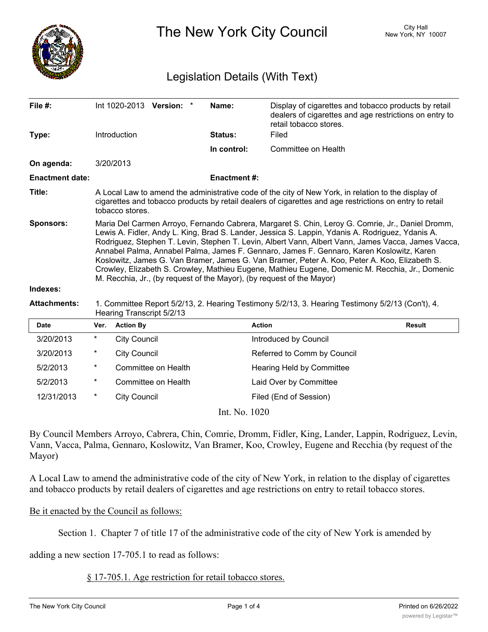

The New York City Council New York, NY 10007

## Legislation Details (With Text)

| File #:                |                                                                                                                                                                                                                                                                                                                                                                                                                                                                                                                                                                                                                                                                                     |                     | Int 1020-2013 Version: * | Name:          | Display of cigarettes and tobacco products by retail<br>dealers of cigarettes and age restrictions on entry to<br>retail tobacco stores. |               |
|------------------------|-------------------------------------------------------------------------------------------------------------------------------------------------------------------------------------------------------------------------------------------------------------------------------------------------------------------------------------------------------------------------------------------------------------------------------------------------------------------------------------------------------------------------------------------------------------------------------------------------------------------------------------------------------------------------------------|---------------------|--------------------------|----------------|------------------------------------------------------------------------------------------------------------------------------------------|---------------|
| Type:                  |                                                                                                                                                                                                                                                                                                                                                                                                                                                                                                                                                                                                                                                                                     | Introduction        |                          | <b>Status:</b> | Filed                                                                                                                                    |               |
|                        |                                                                                                                                                                                                                                                                                                                                                                                                                                                                                                                                                                                                                                                                                     |                     |                          | In control:    | Committee on Health                                                                                                                      |               |
| On agenda:             |                                                                                                                                                                                                                                                                                                                                                                                                                                                                                                                                                                                                                                                                                     | 3/20/2013           |                          |                |                                                                                                                                          |               |
| <b>Enactment date:</b> |                                                                                                                                                                                                                                                                                                                                                                                                                                                                                                                                                                                                                                                                                     | <b>Enactment#:</b>  |                          |                |                                                                                                                                          |               |
| Title:                 | A Local Law to amend the administrative code of the city of New York, in relation to the display of<br>cigarettes and tobacco products by retail dealers of cigarettes and age restrictions on entry to retail<br>tobacco stores.                                                                                                                                                                                                                                                                                                                                                                                                                                                   |                     |                          |                |                                                                                                                                          |               |
| <b>Sponsors:</b>       | Maria Del Carmen Arroyo, Fernando Cabrera, Margaret S. Chin, Leroy G. Comrie, Jr., Daniel Dromm,<br>Lewis A. Fidler, Andy L. King, Brad S. Lander, Jessica S. Lappin, Ydanis A. Rodriguez, Ydanis A.<br>Rodriguez, Stephen T. Levin, Stephen T. Levin, Albert Vann, Albert Vann, James Vacca, James Vacca,<br>Annabel Palma, Annabel Palma, James F. Gennaro, James F. Gennaro, Karen Koslowitz, Karen<br>Koslowitz, James G. Van Bramer, James G. Van Bramer, Peter A. Koo, Peter A. Koo, Elizabeth S.<br>Crowley, Elizabeth S. Crowley, Mathieu Eugene, Mathieu Eugene, Domenic M. Recchia, Jr., Domenic<br>M. Recchia, Jr., (by request of the Mayor), (by request of the Mayor) |                     |                          |                |                                                                                                                                          |               |
| Indexes:               |                                                                                                                                                                                                                                                                                                                                                                                                                                                                                                                                                                                                                                                                                     |                     |                          |                |                                                                                                                                          |               |
| <b>Attachments:</b>    | 1. Committee Report 5/2/13, 2. Hearing Testimony 5/2/13, 3. Hearing Testimony 5/2/13 (Con't), 4.<br>Hearing Transcript 5/2/13                                                                                                                                                                                                                                                                                                                                                                                                                                                                                                                                                       |                     |                          |                |                                                                                                                                          |               |
| <b>Date</b>            | Ver.                                                                                                                                                                                                                                                                                                                                                                                                                                                                                                                                                                                                                                                                                | <b>Action By</b>    |                          |                | <b>Action</b>                                                                                                                            | <b>Result</b> |
| 3/20/2013              | $^\star$                                                                                                                                                                                                                                                                                                                                                                                                                                                                                                                                                                                                                                                                            | <b>City Council</b> |                          |                | Introduced by Council                                                                                                                    |               |
| 3/20/2013              | *                                                                                                                                                                                                                                                                                                                                                                                                                                                                                                                                                                                                                                                                                   | <b>City Council</b> |                          |                | Referred to Comm by Council                                                                                                              |               |
| 5/2/2013               | $^\star$                                                                                                                                                                                                                                                                                                                                                                                                                                                                                                                                                                                                                                                                            |                     | Committee on Health      |                | Hearing Held by Committee                                                                                                                |               |
| 5/2/2013               | *                                                                                                                                                                                                                                                                                                                                                                                                                                                                                                                                                                                                                                                                                   |                     | Committee on Health      |                | Laid Over by Committee                                                                                                                   |               |
| 12/31/2013             | $^\star$                                                                                                                                                                                                                                                                                                                                                                                                                                                                                                                                                                                                                                                                            | <b>City Council</b> |                          |                | Filed (End of Session)                                                                                                                   |               |

Int. No. 1020

By Council Members Arroyo, Cabrera, Chin, Comrie, Dromm, Fidler, King, Lander, Lappin, Rodriguez, Levin, Vann, Vacca, Palma, Gennaro, Koslowitz, Van Bramer, Koo, Crowley, Eugene and Recchia (by request of the Mayor)

A Local Law to amend the administrative code of the city of New York, in relation to the display of cigarettes and tobacco products by retail dealers of cigarettes and age restrictions on entry to retail tobacco stores.

## Be it enacted by the Council as follows:

Section 1. Chapter 7 of title 17 of the administrative code of the city of New York is amended by

adding a new section 17-705.1 to read as follows:

§ 17-705.1. Age restriction for retail tobacco stores.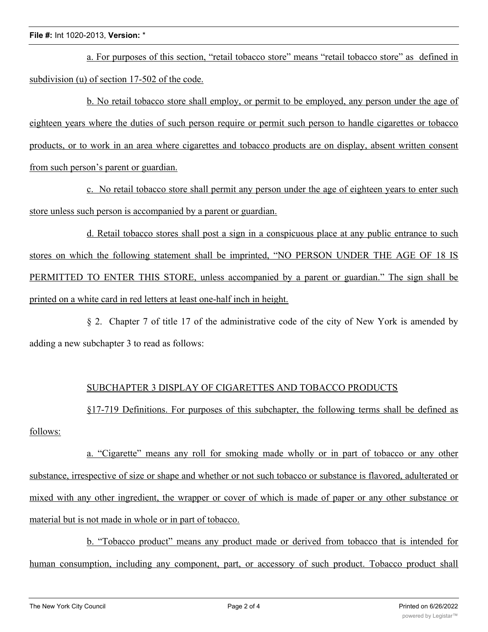a. For purposes of this section, "retail tobacco store" means "retail tobacco store" as defined in subdivision (u) of section 17-502 of the code.

b. No retail tobacco store shall employ, or permit to be employed, any person under the age of eighteen years where the duties of such person require or permit such person to handle cigarettes or tobacco products, or to work in an area where cigarettes and tobacco products are on display, absent written consent from such person's parent or guardian.

c. No retail tobacco store shall permit any person under the age of eighteen years to enter such store unless such person is accompanied by a parent or guardian.

d. Retail tobacco stores shall post a sign in a conspicuous place at any public entrance to such stores on which the following statement shall be imprinted, "NO PERSON UNDER THE AGE OF 18 IS PERMITTED TO ENTER THIS STORE, unless accompanied by a parent or guardian." The sign shall be printed on a white card in red letters at least one-half inch in height.

§ 2. Chapter 7 of title 17 of the administrative code of the city of New York is amended by adding a new subchapter 3 to read as follows:

## SUBCHAPTER 3 DISPLAY OF CIGARETTES AND TOBACCO PRODUCTS

§17-719 Definitions. For purposes of this subchapter, the following terms shall be defined as follows:

a. "Cigarette" means any roll for smoking made wholly or in part of tobacco or any other substance, irrespective of size or shape and whether or not such tobacco or substance is flavored, adulterated or mixed with any other ingredient, the wrapper or cover of which is made of paper or any other substance or material but is not made in whole or in part of tobacco.

b. "Tobacco product" means any product made or derived from tobacco that is intended for human consumption, including any component, part, or accessory of such product. Tobacco product shall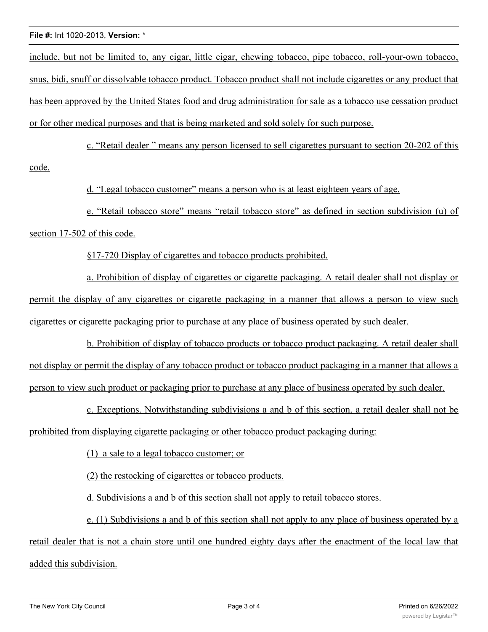## **File #:** Int 1020-2013, **Version:** \*

include, but not be limited to, any cigar, little cigar, chewing tobacco, pipe tobacco, roll-your-own tobacco, snus, bidi, snuff or dissolvable tobacco product. Tobacco product shall not include cigarettes or any product that has been approved by the United States food and drug administration for sale as a tobacco use cessation product or for other medical purposes and that is being marketed and sold solely for such purpose.

c. "Retail dealer " means any person licensed to sell cigarettes pursuant to section 20-202 of this code.

d. "Legal tobacco customer" means a person who is at least eighteen years of age.

e. "Retail tobacco store" means "retail tobacco store" as defined in section subdivision (u) of section 17-502 of this code.

§17-720 Display of cigarettes and tobacco products prohibited.

a. Prohibition of display of cigarettes or cigarette packaging. A retail dealer shall not display or permit the display of any cigarettes or cigarette packaging in a manner that allows a person to view such cigarettes or cigarette packaging prior to purchase at any place of business operated by such dealer.

b. Prohibition of display of tobacco products or tobacco product packaging. A retail dealer shall not display or permit the display of any tobacco product or tobacco product packaging in a manner that allows a person to view such product or packaging prior to purchase at any place of business operated by such dealer.

c. Exceptions. Notwithstanding subdivisions a and b of this section, a retail dealer shall not be prohibited from displaying cigarette packaging or other tobacco product packaging during:

(1) a sale to a legal tobacco customer; or

(2) the restocking of cigarettes or tobacco products.

d. Subdivisions a and b of this section shall not apply to retail tobacco stores.

e. (1) Subdivisions a and b of this section shall not apply to any place of business operated by a retail dealer that is not a chain store until one hundred eighty days after the enactment of the local law that added this subdivision.